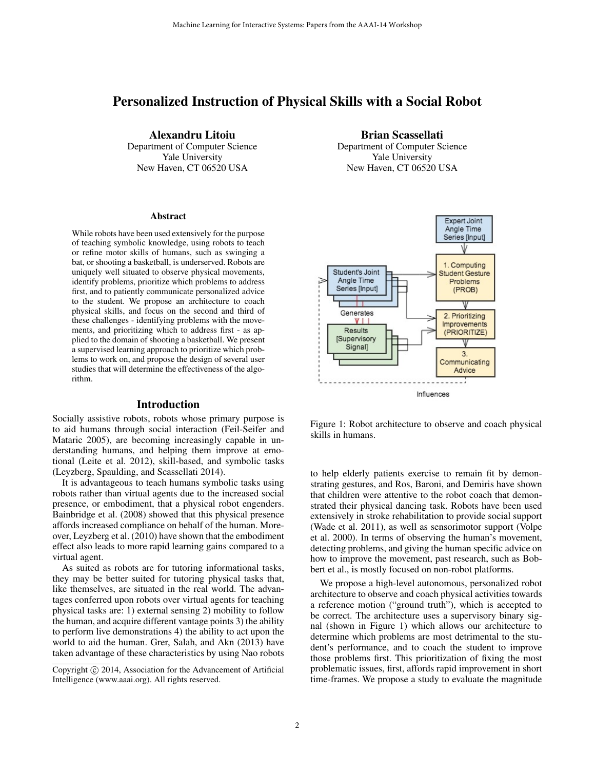# Personalized Instruction of Physical Skills with a Social Robot

Alexandru Litoiu Department of Computer Science Yale University New Haven, CT 06520 USA

### Abstract

While robots have been used extensively for the purpose of teaching symbolic knowledge, using robots to teach or refine motor skills of humans, such as swinging a bat, or shooting a basketball, is underserved. Robots are uniquely well situated to observe physical movements, identify problems, prioritize which problems to address first, and to patiently communicate personalized advice to the student. We propose an architecture to coach physical skills, and focus on the second and third of these challenges - identifying problems with the movements, and prioritizing which to address first - as applied to the domain of shooting a basketball. We present a supervised learning approach to prioritize which problems to work on, and propose the design of several user studies that will determine the effectiveness of the algorithm.

### Introduction

Socially assistive robots, robots whose primary purpose is to aid humans through social interaction (Feil-Seifer and Mataric 2005), are becoming increasingly capable in understanding humans, and helping them improve at emotional (Leite et al. 2012), skill-based, and symbolic tasks (Leyzberg, Spaulding, and Scassellati 2014).

It is advantageous to teach humans symbolic tasks using robots rather than virtual agents due to the increased social presence, or embodiment, that a physical robot engenders. Bainbridge et al. (2008) showed that this physical presence affords increased compliance on behalf of the human. Moreover, Leyzberg et al. (2010) have shown that the embodiment effect also leads to more rapid learning gains compared to a virtual agent.

As suited as robots are for tutoring informational tasks, they may be better suited for tutoring physical tasks that, like themselves, are situated in the real world. The advantages conferred upon robots over virtual agents for teaching physical tasks are: 1) external sensing 2) mobility to follow the human, and acquire different vantage points 3) the ability to perform live demonstrations 4) the ability to act upon the world to aid the human. Grer, Salah, and Akn (2013) have taken advantage of these characteristics by using Nao robots

Brian Scassellati Department of Computer Science Yale University New Haven, CT 06520 USA



Figure 1: Robot architecture to observe and coach physical skills in humans.

to help elderly patients exercise to remain fit by demonstrating gestures, and Ros, Baroni, and Demiris have shown that children were attentive to the robot coach that demonstrated their physical dancing task. Robots have been used extensively in stroke rehabilitation to provide social support (Wade et al. 2011), as well as sensorimotor support (Volpe et al. 2000). In terms of observing the human's movement, detecting problems, and giving the human specific advice on how to improve the movement, past research, such as Bobbert et al., is mostly focused on non-robot platforms.

We propose a high-level autonomous, personalized robot architecture to observe and coach physical activities towards a reference motion ("ground truth"), which is accepted to be correct. The architecture uses a supervisory binary signal (shown in Figure 1) which allows our architecture to determine which problems are most detrimental to the student's performance, and to coach the student to improve those problems first. This prioritization of fixing the most problematic issues, first, affords rapid improvement in short time-frames. We propose a study to evaluate the magnitude

Copyright  $\odot$  2014, Association for the Advancement of Artificial Intelligence (www.aaai.org). All rights reserved.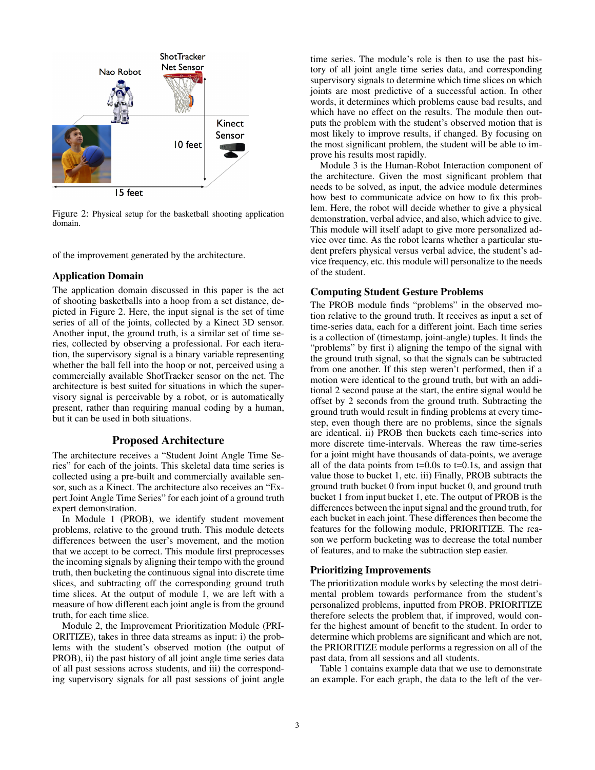

Figure 2: Physical setup for the basketball shooting application domain.

of the improvement generated by the architecture.

### Application Domain

The application domain discussed in this paper is the act of shooting basketballs into a hoop from a set distance, depicted in Figure 2. Here, the input signal is the set of time series of all of the joints, collected by a Kinect 3D sensor. Another input, the ground truth, is a similar set of time series, collected by observing a professional. For each iteration, the supervisory signal is a binary variable representing whether the ball fell into the hoop or not, perceived using a commercially available ShotTracker sensor on the net. The architecture is best suited for situations in which the supervisory signal is perceivable by a robot, or is automatically present, rather than requiring manual coding by a human, but it can be used in both situations.

## Proposed Architecture

The architecture receives a "Student Joint Angle Time Series" for each of the joints. This skeletal data time series is collected using a pre-built and commercially available sensor, such as a Kinect. The architecture also receives an "Expert Joint Angle Time Series" for each joint of a ground truth expert demonstration.

In Module 1 (PROB), we identify student movement problems, relative to the ground truth. This module detects differences between the user's movement, and the motion that we accept to be correct. This module first preprocesses the incoming signals by aligning their tempo with the ground truth, then bucketing the continuous signal into discrete time slices, and subtracting off the corresponding ground truth time slices. At the output of module 1, we are left with a measure of how different each joint angle is from the ground truth, for each time slice.

Module 2, the Improvement Prioritization Module (PRI-ORITIZE), takes in three data streams as input: i) the problems with the student's observed motion (the output of PROB), ii) the past history of all joint angle time series data of all past sessions across students, and iii) the corresponding supervisory signals for all past sessions of joint angle time series. The module's role is then to use the past history of all joint angle time series data, and corresponding supervisory signals to determine which time slices on which joints are most predictive of a successful action. In other words, it determines which problems cause bad results, and which have no effect on the results. The module then outputs the problem with the student's observed motion that is most likely to improve results, if changed. By focusing on the most significant problem, the student will be able to improve his results most rapidly.

Module 3 is the Human-Robot Interaction component of the architecture. Given the most significant problem that needs to be solved, as input, the advice module determines how best to communicate advice on how to fix this problem. Here, the robot will decide whether to give a physical demonstration, verbal advice, and also, which advice to give. This module will itself adapt to give more personalized advice over time. As the robot learns whether a particular student prefers physical versus verbal advice, the student's advice frequency, etc. this module will personalize to the needs of the student.

### Computing Student Gesture Problems

The PROB module finds "problems" in the observed motion relative to the ground truth. It receives as input a set of time-series data, each for a different joint. Each time series is a collection of (timestamp, joint-angle) tuples. It finds the "problems" by first i) aligning the tempo of the signal with the ground truth signal, so that the signals can be subtracted from one another. If this step weren't performed, then if a motion were identical to the ground truth, but with an additional 2 second pause at the start, the entire signal would be offset by 2 seconds from the ground truth. Subtracting the ground truth would result in finding problems at every timestep, even though there are no problems, since the signals are identical. ii) PROB then buckets each time-series into more discrete time-intervals. Whereas the raw time-series for a joint might have thousands of data-points, we average all of the data points from  $t=0.0s$  to  $t=0.1s$ , and assign that value those to bucket 1, etc. iii) Finally, PROB subtracts the ground truth bucket 0 from input bucket 0, and ground truth bucket 1 from input bucket 1, etc. The output of PROB is the differences between the input signal and the ground truth, for each bucket in each joint. These differences then become the features for the following module, PRIORITIZE. The reason we perform bucketing was to decrease the total number of features, and to make the subtraction step easier.

## Prioritizing Improvements

The prioritization module works by selecting the most detrimental problem towards performance from the student's personalized problems, inputted from PROB. PRIORITIZE therefore selects the problem that, if improved, would confer the highest amount of benefit to the student. In order to determine which problems are significant and which are not, the PRIORITIZE module performs a regression on all of the past data, from all sessions and all students.

Table 1 contains example data that we use to demonstrate an example. For each graph, the data to the left of the ver-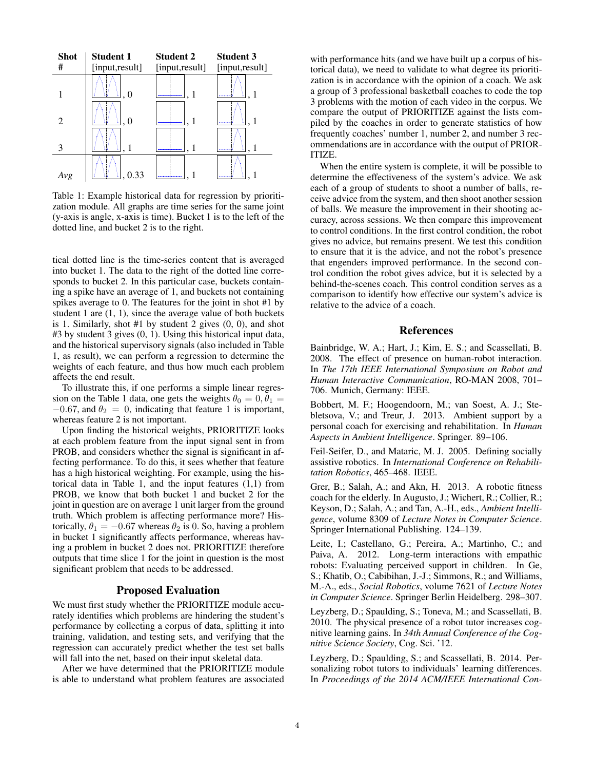

Table 1: Example historical data for regression by prioritization module. All graphs are time series for the same joint (y-axis is angle, x-axis is time). Bucket 1 is to the left of the dotted line, and bucket 2 is to the right.

tical dotted line is the time-series content that is averaged into bucket 1. The data to the right of the dotted line corresponds to bucket 2. In this particular case, buckets containing a spike have an average of 1, and buckets not containing spikes average to 0. The features for the joint in shot #1 by student 1 are (1, 1), since the average value of both buckets is 1. Similarly, shot #1 by student 2 gives (0, 0), and shot #3 by student 3 gives (0, 1). Using this historical input data, and the historical supervisory signals (also included in Table 1, as result), we can perform a regression to determine the weights of each feature, and thus how much each problem affects the end result.

To illustrate this, if one performs a simple linear regression on the Table 1 data, one gets the weights  $\theta_0 = 0, \theta_1 =$  $-0.67$ , and  $\theta_2 = 0$ , indicating that feature 1 is important, whereas feature 2 is not important.

Upon finding the historical weights, PRIORITIZE looks at each problem feature from the input signal sent in from PROB, and considers whether the signal is significant in affecting performance. To do this, it sees whether that feature has a high historical weighting. For example, using the historical data in Table 1, and the input features (1,1) from PROB, we know that both bucket 1 and bucket 2 for the joint in question are on average 1 unit larger from the ground truth. Which problem is affecting performance more? Historically,  $\theta_1 = -0.67$  whereas  $\theta_2$  is 0. So, having a problem in bucket 1 significantly affects performance, whereas having a problem in bucket 2 does not. PRIORITIZE therefore outputs that time slice 1 for the joint in question is the most significant problem that needs to be addressed.

### Proposed Evaluation

We must first study whether the PRIORITIZE module accurately identifies which problems are hindering the student's performance by collecting a corpus of data, splitting it into training, validation, and testing sets, and verifying that the regression can accurately predict whether the test set balls will fall into the net, based on their input skeletal data.

After we have determined that the PRIORITIZE module is able to understand what problem features are associated

with performance hits (and we have built up a corpus of historical data), we need to validate to what degree its prioritization is in accordance with the opinion of a coach. We ask a group of 3 professional basketball coaches to code the top 3 problems with the motion of each video in the corpus. We compare the output of PRIORITIZE against the lists compiled by the coaches in order to generate statistics of how frequently coaches' number 1, number 2, and number 3 recommendations are in accordance with the output of PRIOR-ITIZE.

When the entire system is complete, it will be possible to determine the effectiveness of the system's advice. We ask each of a group of students to shoot a number of balls, receive advice from the system, and then shoot another session of balls. We measure the improvement in their shooting accuracy, across sessions. We then compare this improvement to control conditions. In the first control condition, the robot gives no advice, but remains present. We test this condition to ensure that it is the advice, and not the robot's presence that engenders improved performance. In the second control condition the robot gives advice, but it is selected by a behind-the-scenes coach. This control condition serves as a comparison to identify how effective our system's advice is relative to the advice of a coach.

### References

Bainbridge, W. A.; Hart, J.; Kim, E. S.; and Scassellati, B. 2008. The effect of presence on human-robot interaction. In *The 17th IEEE International Symposium on Robot and Human Interactive Communication*, RO-MAN 2008, 701– 706. Munich, Germany: IEEE.

Bobbert, M. F.; Hoogendoorn, M.; van Soest, A. J.; Stebletsova, V.; and Treur, J. 2013. Ambient support by a personal coach for exercising and rehabilitation. In *Human Aspects in Ambient Intelligence*. Springer. 89–106.

Feil-Seifer, D., and Mataric, M. J. 2005. Defining socially assistive robotics. In *International Conference on Rehabilitation Robotics*, 465–468. IEEE.

Grer, B.; Salah, A.; and Akn, H. 2013. A robotic fitness coach for the elderly. In Augusto, J.; Wichert, R.; Collier, R.; Keyson, D.; Salah, A.; and Tan, A.-H., eds., *Ambient Intelligence*, volume 8309 of *Lecture Notes in Computer Science*. Springer International Publishing. 124–139.

Leite, I.; Castellano, G.; Pereira, A.; Martinho, C.; and Paiva, A. 2012. Long-term interactions with empathic robots: Evaluating perceived support in children. In Ge, S.; Khatib, O.; Cabibihan, J.-J.; Simmons, R.; and Williams, M.-A., eds., *Social Robotics*, volume 7621 of *Lecture Notes in Computer Science*. Springer Berlin Heidelberg. 298–307.

Leyzberg, D.; Spaulding, S.; Toneva, M.; and Scassellati, B. 2010. The physical presence of a robot tutor increases cognitive learning gains. In *34th Annual Conference of the Cognitive Science Society*, Cog. Sci. '12.

Leyzberg, D.; Spaulding, S.; and Scassellati, B. 2014. Personalizing robot tutors to individuals' learning differences. In *Proceedings of the 2014 ACM/IEEE International Con-*